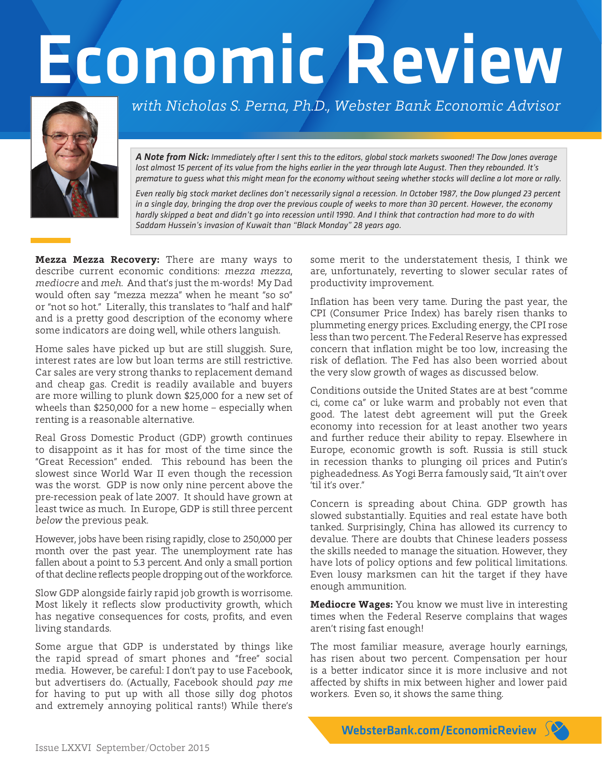## Economic Review



*with Nicholas S. Perna, Ph.D., Webster Bank Economic Advisor*

*A Note from Nick: Immediately after I sent this to the editors, global stock markets swooned! The Dow Jones average lost almost 15 percent of its value from the highs earlier in the year through late August. Then they rebounded. It's premature to guess what this might mean for the economy without seeing whether stocks will decline a lot more or rally.*

*Even really big stock market declines don't necessarily signal a recession. In October 1987, the Dow plunged 23 percent*  in a single day, bringing the drop over the previous couple of weeks to more than 30 percent. However, the economy *hardly skipped a beat and didn't go into recession until 1990. And I think that contraction had more to do with Saddam Hussein's invasion of Kuwait than "Black Monday" 28 years ago.*

**Mezza Mezza Recovery:** There are many ways to describe current economic conditions: *mezza mezza*, *mediocre* and *meh*. And that's just the m-words! My Dad would often say "mezza mezza" when he meant "so so" or "not so hot." Literally, this translates to "half and half" and is a pretty good description of the economy where some indicators are doing well, while others languish.

Home sales have picked up but are still sluggish. Sure, interest rates are low but loan terms are still restrictive. Car sales are very strong thanks to replacement demand and cheap gas. Credit is readily available and buyers are more willing to plunk down \$25,000 for a new set of wheels than \$250,000 for a new home – especially when renting is a reasonable alternative.

Real Gross Domestic Product (GDP) growth continues to disappoint as it has for most of the time since the "Great Recession" ended. This rebound has been the slowest since World War II even though the recession was the worst. GDP is now only nine percent above the pre-recession peak of late 2007. It should have grown at least twice as much. In Europe, GDP is still three percent *below* the previous peak.

However, jobs have been rising rapidly, close to 250,000 per month over the past year. The unemployment rate has fallen about a point to 5.3 percent. And only a small portion of that decline reflects people dropping out of the workforce.

Slow GDP alongside fairly rapid job growth is worrisome. Most likely it reflects slow productivity growth, which has negative consequences for costs, profits, and even living standards.

Some argue that GDP is understated by things like the rapid spread of smart phones and "free" social media. However, be careful: I don't pay to use Facebook, but advertisers do. (Actually, Facebook should *pay me*  for having to put up with all those silly dog photos and extremely annoying political rants!) While there's

some merit to the understatement thesis, I think we are, unfortunately, reverting to slower secular rates of productivity improvement.

Inflation has been very tame. During the past year, the CPI (Consumer Price Index) has barely risen thanks to plummeting energy prices. Excluding energy, the CPI rose less than two percent. The Federal Reserve has expressed concern that inflation might be too low, increasing the risk of deflation. The Fed has also been worried about the very slow growth of wages as discussed below.

Conditions outside the United States are at best "comme ci, come ca" or luke warm and probably not even that good. The latest debt agreement will put the Greek economy into recession for at least another two years and further reduce their ability to repay. Elsewhere in Europe, economic growth is soft. Russia is still stuck in recession thanks to plunging oil prices and Putin's pigheadedness. As Yogi Berra famously said, "It ain't over 'til it's over."

Concern is spreading about China. GDP growth has slowed substantially. Equities and real estate have both tanked. Surprisingly, China has allowed its currency to devalue. There are doubts that Chinese leaders possess the skills needed to manage the situation. However, they have lots of policy options and few political limitations. Even lousy marksmen can hit the target if they have enough ammunition.

**Mediocre Wages:** You know we must live in interesting times when the Federal Reserve complains that wages aren't rising fast enough!

The most familiar measure, average hourly earnings, has risen about two percent. Compensation per hour is a better indicator since it is more inclusive and not affected by shifts in mix between higher and lower paid workers. Even so, it shows the same thing.

WebsterBank.com/EconomicReview